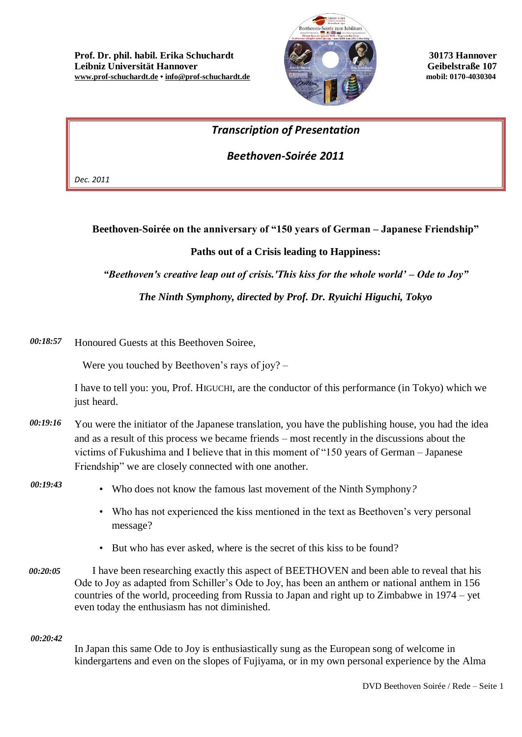

# *Transcription of Presentation*

# *Beethoven-Soirée 2011*

*Dec. 2011*

## **Beethoven-Soirée on the anniversary of "150 years of German – Japanese Friendship"**

## **Paths out of a Crisis leading to Happiness:**

*"Beethoven's creative leap out of crisis.'This kiss for the whole world' – Ode to Joy"*

*The Ninth Symphony, directed by Prof. Dr. Ryuichi Higuchi, Tokyo*

*00:18:57* Honoured Guests at this Beethoven Soiree,

Were you touched by Beethoven's rays of joy? –

I have to tell you: you, Prof. HIGUCHI, are the conductor of this performance (in Tokyo) which we just heard.

*00:19:16* You were the initiator of the Japanese translation, you have the publishing house, you had the idea and as a result of this process we became friends – most recently in the discussions about the victims of Fukushima and I believe that in this moment of "150 years of German – Japanese Friendship" we are closely connected with one another.

### *00:19:43*

- Who does not know the famous last movement of the Ninth Symphony*?*
- Who has not experienced the kiss mentioned in the text as Beethoven's very personal message?
- But who has ever asked, where is the secret of this kiss to be found?
- *00:20:05* I have been researching exactly this aspect of BEETHOVEN and been able to reveal that his Ode to Joy as adapted from Schiller's Ode to Joy, has been an anthem or national anthem in 156 countries of the world, proceeding from Russia to Japan and right up to Zimbabwe in 1974 – yet even today the enthusiasm has not diminished.

### *00:20:42*

In Japan this same Ode to Joy is enthusiastically sung as the European song of welcome in kindergartens and even on the slopes of Fujiyama, or in my own personal experience by the Alma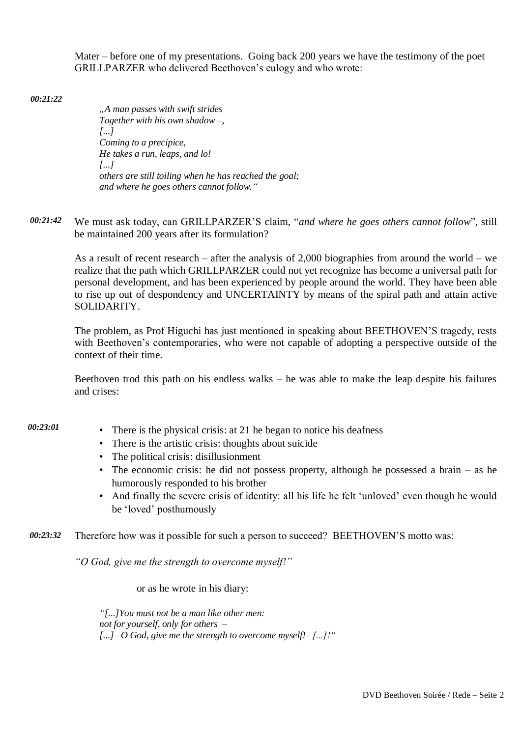Mater – before one of my presentations. Going back 200 years we have the testimony of the poet GRILLPARZER who delivered Beethoven's eulogy and who wrote:

*00:21:22*

*"A man passes with swift strides Together with his own shadow –, [...] Coming to a precipice, He takes a run, leaps, and lo! [...] others are still toiling when he has reached the goal; and where he goes others cannot follow."*

*00:21:42* We must ask today, can GRILLPARZER'S claim, "*and where he goes others cannot follow*"*,* still be maintained 200 years after its formulation?

As a result of recent research – after the analysis of 2,000 biographies from around the world – we realize that the path which GRILLPARZER could not yet recognize has become a universal path for personal development, and has been experienced by people around the world. They have been able to rise up out of despondency and UNCERTAINTY by means of the spiral path and attain active SOLIDARITY.

The problem, as Prof Higuchi has just mentioned in speaking about BEETHOVEN'S tragedy, rests with Beethoven's contemporaries, who were not capable of adopting a perspective outside of the context of their time.

Beethoven trod this path on his endless walks – he was able to make the leap despite his failures and crises:

- *00:23:01*
- There is the physical crisis: at 21 he began to notice his deafness
- There is the artistic crisis: thoughts about suicide
- The political crisis: disillusionment
- The economic crisis: he did not possess property, although he possessed a brain as he humorously responded to his brother
- And finally the severe crisis of identity: all his life he felt 'unloved' even though he would be 'loved' posthumously

*00:23:32* Therefore how was it possible for such a person to succeed? BEETHOVEN'S motto was:

*"O God, give me the strength to overcome myself!"* 

or as he wrote in his diary:

*"[...]You must not be a man like other men: not for yourself, only for others – [...]– O God, give me the strength to overcome myself!– [...]!"*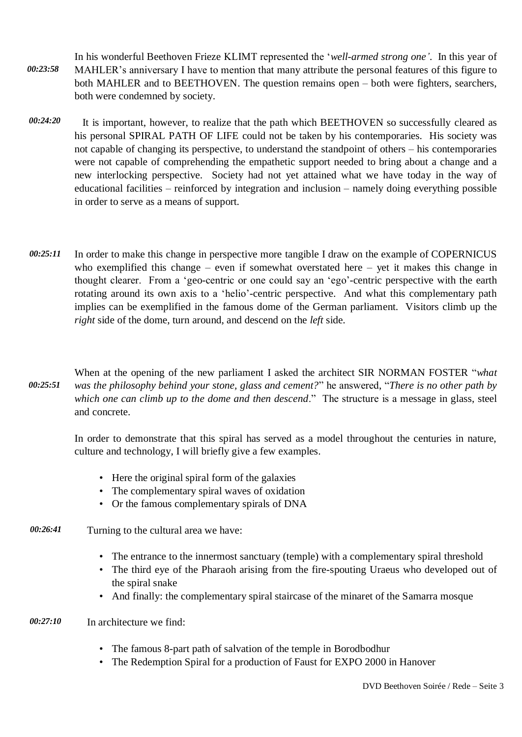- *00:23:58* In his wonderful Beethoven Frieze KLIMT represented the '*well-armed strong one'*. In this year of MAHLER's anniversary I have to mention that many attribute the personal features of this figure to both MAHLER and to BEETHOVEN. The question remains open – both were fighters, searchers, both were condemned by society.
- *00:24:20* It is important, however, to realize that the path which BEETHOVEN so successfully cleared as his personal SPIRAL PATH OF LIFE could not be taken by his contemporaries. His society was not capable of changing its perspective, to understand the standpoint of others – his contemporaries were not capable of comprehending the empathetic support needed to bring about a change and a new interlocking perspective. Society had not yet attained what we have today in the way of educational facilities – reinforced by integration and inclusion – namely doing everything possible in order to serve as a means of support.
- *00:25:11* In order to make this change in perspective more tangible I draw on the example of COPERNICUS who exemplified this change – even if somewhat overstated here – yet it makes this change in thought clearer. From a 'geo-centric or one could say an 'ego'-centric perspective with the earth rotating around its own axis to a 'helio'-centric perspective. And what this complementary path implies can be exemplified in the famous dome of the German parliament. Visitors climb up the *right* side of the dome, turn around, and descend on the *left* side.

*00:25:51* When at the opening of the new parliament I asked the architect SIR NORMAN FOSTER "*what was the philosophy behind your stone, glass and cement?*" he answered, "*There is no other path by which one can climb up to the dome and then descend*." The structure is a message in glass, steel and concrete.

In order to demonstrate that this spiral has served as a model throughout the centuries in nature, culture and technology, I will briefly give a few examples.

- Here the original spiral form of the galaxies
- The complementary spiral waves of oxidation
- Or the famous complementary spirals of DNA
- *00:26:41* Turning to the cultural area we have:
	- The entrance to the innermost sanctuary (temple) with a complementary spiral threshold
	- The third eye of the Pharaoh arising from the fire-spouting Uraeus who developed out of the spiral snake
	- And finally: the complementary spiral staircase of the minaret of the Samarra mosque

*00:27:10* In architecture we find:

- The famous 8-part path of salvation of the temple in Borodbodhur
- The Redemption Spiral for a production of Faust for EXPO 2000 in Hanover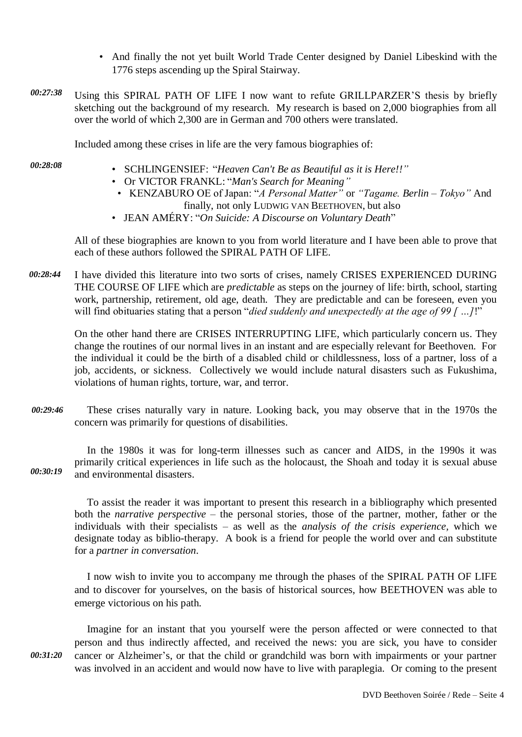- And finally the not yet built World Trade Center designed by Daniel Libeskind with the 1776 steps ascending up the Spiral Stairway.
- *00:27:38* Using this SPIRAL PATH OF LIFE I now want to refute GRILLPARZER'S thesis by briefly sketching out the background of my research. My research is based on 2,000 biographies from all over the world of which 2,300 are in German and 700 others were translated.

Included among these crises in life are the very famous biographies of:

*00:28:08*

- SCHLINGENSIEF: "*Heaven Can't Be as Beautiful as it is Here!!"*
- Or VICTOR FRANKL: "*Man's Search for Meaning"*
- KENZABURO OE of Japan: "*A Personal Matter"* or *"Tagame. Berlin – Tokyo"* And finally, not only LUDWIG VAN BEETHOVEN, but also
- JEAN AMÉRY: "*On Suicide: A Discourse on Voluntary Death*"

All of these biographies are known to you from world literature and I have been able to prove that each of these authors followed the SPIRAL PATH OF LIFE.

*00:28:44* I have divided this literature into two sorts of crises, namely CRISES EXPERIENCED DURING THE COURSE OF LIFE which are *predictable* as steps on the journey of life: birth, school, starting work, partnership, retirement, old age, death. They are predictable and can be foreseen, even you will find obituaries stating that a person "*died suddenly and unexpectedly at the age of 99 [ ...]*!"

On the other hand there are CRISES INTERRUPTING LIFE, which particularly concern us. They change the routines of our normal lives in an instant and are especially relevant for Beethoven. For the individual it could be the birth of a disabled child or childlessness, loss of a partner, loss of a job, accidents, or sickness. Collectively we would include natural disasters such as Fukushima, violations of human rights, torture, war, and terror.

*00:29:46* These crises naturally vary in nature. Looking back, you may observe that in the 1970s the concern was primarily for questions of disabilities.

*00:30:19* In the 1980s it was for long-term illnesses such as cancer and AIDS, in the 1990s it was primarily critical experiences in life such as the holocaust, the Shoah and today it is sexual abuse and environmental disasters.

To assist the reader it was important to present this research in a bibliography which presented both the *narrative perspective* – the personal stories, those of the partner, mother, father or the individuals with their specialists – as well as the *analysis of the crisis experience,* which we designate today as biblio-therapy. A book is a friend for people the world over and can substitute for a *partner in conversation*.

I now wish to invite you to accompany me through the phases of the SPIRAL PATH OF LIFE and to discover for yourselves, on the basis of historical sources, how BEETHOVEN was able to emerge victorious on his path.

*00:31:20*

Imagine for an instant that you yourself were the person affected or were connected to that person and thus indirectly affected, and received the news: you are sick, you have to consider cancer or Alzheimer's, or that the child or grandchild was born with impairments or your partner was involved in an accident and would now have to live with paraplegia. Or coming to the present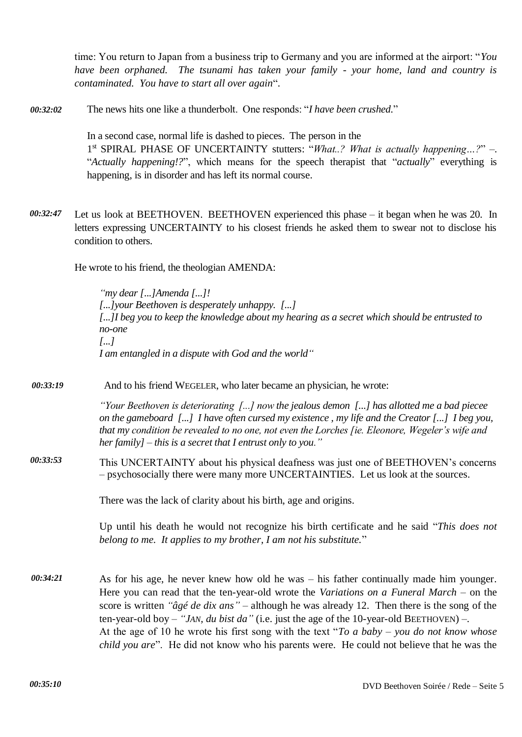time: You return to Japan from a business trip to Germany and you are informed at the airport: "*You have been orphaned. The tsunami has taken your family - your home, land and country is contaminated. You have to start all over again*".

*00:32:02* The news hits one like a thunderbolt. One responds: "*I have been crushed*."

> In a second case, normal life is dashed to pieces. The person in the 1 st SPIRAL PHASE OF UNCERTAINTY stutters: "*What..? What is actually happening…?*" –. "*Actually happening!?*", which means for the speech therapist that "*actually*" everything is happening, is in disorder and has left its normal course.

*00:32:47* Let us look at BEETHOVEN. BEETHOVEN experienced this phase – it began when he was 20. In letters expressing UNCERTAINTY to his closest friends he asked them to swear not to disclose his condition to others.

He wrote to his friend, the theologian AMENDA:

*"my dear [...]Amenda [...]! [...]your Beethoven is desperately unhappy. [...] [...]I beg you to keep the knowledge about my hearing as a secret which should be entrusted to no-one [...] I am entangled in a dispute with God and the world"*

*00:33:19* And to his friend WEGELER, who later became an physician, he wrote:

> *"Your Beethoven is deteriorating [...] now the jealous demon [...] has allotted me a bad piecee on the gameboard [...] I have often cursed my existence , my life and the Creator [...] I beg you, that my condition be revealed to no one, not even the Lorches [ie. Eleonore, Wegeler's wife and her family] – this is a secret that I entrust only to you."*

*00:33:53* This UNCERTAINTY about his physical deafness was just one of BEETHOVEN's concerns – psychosocially there were many more UNCERTAINTIES. Let us look at the sources.

There was the lack of clarity about his birth, age and origins.

Up until his death he would not recognize his birth certificate and he said "*This does not belong to me. It applies to my brother, I am not his substitute.*"

*00:34:21* As for his age, he never knew how old he was – his father continually made him younger. Here you can read that the ten-year-old wrote the *Variations on a Funeral March –* on the score is written *"âgé de dix ans"* – although he was already 12. Then there is the song of the ten-year-old boy – *"JAN, du bist da"* (i.e. just the age of the 10-year-old BEETHOVEN) –. At the age of 10 he wrote his first song with the text "*To a baby – you do not know whose child you are*". He did not know who his parents were. He could not believe that he was the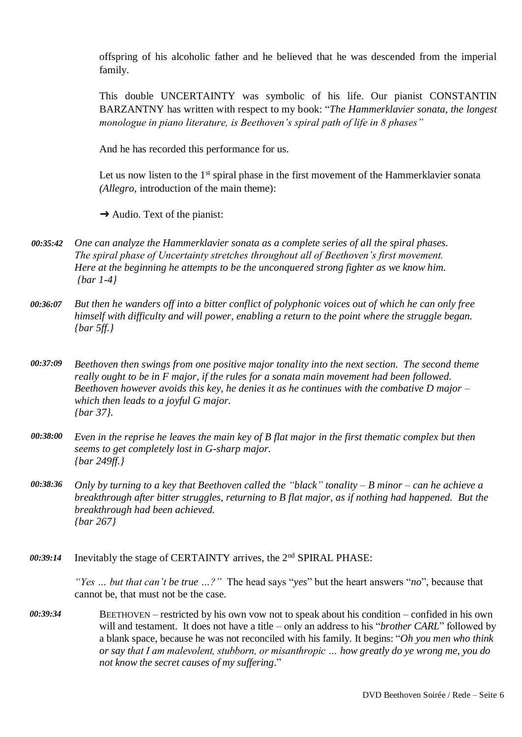offspring of his alcoholic father and he believed that he was descended from the imperial family.

This double UNCERTAINTY was symbolic of his life. Our pianist CONSTANTIN BARZANTNY has written with respect to my book: "*The Hammerklavier sonata, the longest monologue in piano literature, is Beethoven's spiral path of life in 8 phases"* 

And he has recorded this performance for us.

Let us now listen to the  $1<sup>st</sup>$  spiral phase in the first movement of the Hammerklavier sonata *(Allegro*, introduction of the main theme):

 $\rightarrow$  Audio. Text of the pianist:

- *One can analyze the Hammerklavier sonata as a complete series of all the spiral phases. The spiral phase of Uncertainty stretches throughout all of Beethoven's first movement. Here at the beginning he attempts to be the unconquered strong fighter as we know him. {bar 1-4} 00:35:42*
- *00:36:07 But then he wanders off into a bitter conflict of polyphonic voices out of which he can only free himself with difficulty and will power, enabling a return to the point where the struggle began. {bar 5ff.}*

*00:37:09 Beethoven then swings from one positive major tonality into the next section. The second theme really ought to be in F major, if the rules for a sonata main movement had been followed. Beethoven however avoids this key, he denies it as he continues with the combative D major – which then leads to a joyful G major. {bar 37}.*

- *Even in the reprise he leaves the main key of B flat major in the first thematic complex but then seems to get completely lost in G-sharp major. {bar 249ff.} 00:38:00*
- *Only by turning to a key that Beethoven called the "black" tonality – B minor – can he achieve a breakthrough after bitter struggles, returning to B flat major, as if nothing had happened. But the breakthrough had been achieved. {bar 267} 00:38:36*
- *00:39:14* Inevitably the stage of CERTAINTY arrives, the 2nd SPIRAL PHASE:

*"Yes … but that can't be true …?"* The head says "*yes*" but the heart answers "*no*", because that cannot be, that must not be the case.

*00:39:34* BEETHOVEN – restricted by his own vow not to speak about his condition – confided in his own will and testament. It does not have a title – only an address to his "*brother CARL*" followed by a blank space, because he was not reconciled with his family. It begins: "*Oh you men who think or say that I am malevolent, stubborn, or misanthropic … how greatly do ye wrong me, you do not know the secret causes of my suffering*."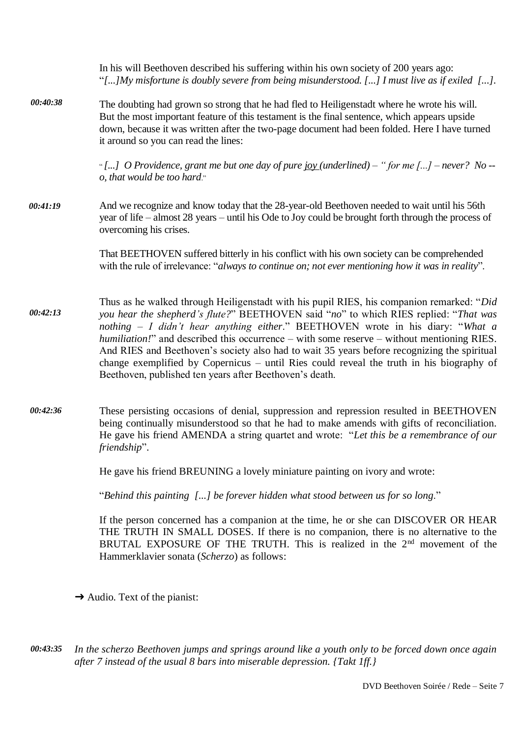In his will Beethoven described his suffering within his own society of 200 years ago: "*[...]My misfortune is doubly severe from being misunderstood. [...] I must live as if exiled [...]*.

*00:40:38* The doubting had grown so strong that he had fled to Heiligenstadt where he wrote his will. But the most important feature of this testament is the final sentence, which appears upside down, because it was written after the two-page document had been folded. Here I have turned it around so you can read the lines:

> " *[...] O Providence, grant me but one day of pure joy (underlined) – " for me [...] – never? No - o, that would be too hard*."

*00:41:19* And we recognize and know today that the 28-year-old Beethoven needed to wait until his 56th year of life – almost 28 years – until his Ode to Joy could be brought forth through the process of overcoming his crises.

> That BEETHOVEN suffered bitterly in his conflict with his own society can be comprehended with the rule of irrelevance: "*always to continue on; not ever mentioning how it was in reality*".

- *00:42:13* Thus as he walked through Heiligenstadt with his pupil RIES, his companion remarked: "*Did you hear the shepherd's flute?*" BEETHOVEN said "*no*" to which RIES replied: "*That was nothing – I didn't hear anything either*." BEETHOVEN wrote in his diary: "*What a humiliation!*" and described this occurrence – with some reserve – without mentioning RIES. And RIES and Beethoven's society also had to wait 35 years before recognizing the spiritual change exemplified by Copernicus – until Ries could reveal the truth in his biography of Beethoven, published ten years after Beethoven's death.
- *00:42:36* These persisting occasions of denial, suppression and repression resulted in BEETHOVEN being continually misunderstood so that he had to make amends with gifts of reconciliation. He gave his friend AMENDA a string quartet and wrote: "*Let this be a remembrance of our friendship*".

He gave his friend BREUNING a lovely miniature painting on ivory and wrote:

"*Behind this painting [...] be forever hidden what stood between us for so long*."

If the person concerned has a companion at the time, he or she can DISCOVER OR HEAR THE TRUTH IN SMALL DOSES. If there is no companion, there is no alternative to the BRUTAL EXPOSURE OF THE TRUTH. This is realized in the 2<sup>nd</sup> movement of the Hammerklavier sonata (*Scherzo*) as follows:

 $\rightarrow$  Audio. Text of the pianist:

*00:43:35 In the scherzo Beethoven jumps and springs around like a youth only to be forced down once again after 7 instead of the usual 8 bars into miserable depression. {Takt 1ff.}*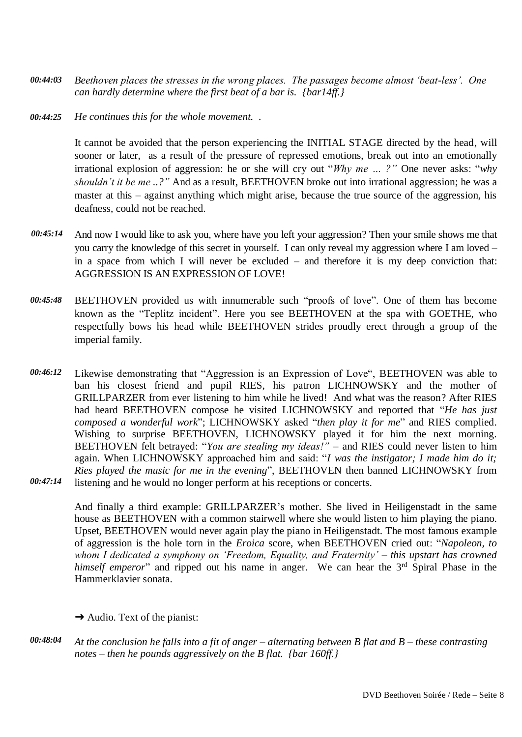- *Beethoven places the stresses in the wrong places. The passages become almost 'beat-less'. One can hardly determine where the first beat of a bar is. {bar14ff.} 00:44:03*
- *He continues this for the whole movement. . 00:44:25*

It cannot be avoided that the person experiencing the INITIAL STAGE directed by the head, will sooner or later, as a result of the pressure of repressed emotions, break out into an emotionally irrational explosion of aggression: he or she will cry out "*Why me … ?"* One never asks: "*why shouldn't it be me ..?"* And as a result, BEETHOVEN broke out into irrational aggression; he was a master at this – against anything which might arise, because the true source of the aggression, his deafness, could not be reached.

- *00:45:14* And now I would like to ask you, where have you left your aggression? Then your smile shows me that you carry the knowledge of this secret in yourself. I can only reveal my aggression where I am loved – in a space from which I will never be excluded – and therefore it is my deep conviction that: AGGRESSION IS AN EXPRESSION OF LOVE!
- *00:45:48* BEETHOVEN provided us with innumerable such "proofs of love". One of them has become known as the "Teplitz incident". Here you see BEETHOVEN at the spa with GOETHE, who respectfully bows his head while BEETHOVEN strides proudly erect through a group of the imperial family.
- *00:46:12 00:47:14* Likewise demonstrating that "Aggression is an Expression of Love", BEETHOVEN was able to ban his closest friend and pupil RIES, his patron LICHNOWSKY and the mother of GRILLPARZER from ever listening to him while he lived! And what was the reason? After RIES had heard BEETHOVEN compose he visited LICHNOWSKY and reported that "*He has just composed a wonderful work*"; LICHNOWSKY asked "*then play it for me*" and RIES complied. Wishing to surprise BEETHOVEN, LICHNOWSKY played it for him the next morning. BEETHOVEN felt betrayed: "*You are stealing my ideas!"* – and RIES could never listen to him again. When LICHNOWSKY approached him and said: "*I was the instigator; I made him do it; Ries played the music for me in the evening*", BEETHOVEN then banned LICHNOWSKY from listening and he would no longer perform at his receptions or concerts.

And finally a third example: GRILLPARZER's mother. She lived in Heiligenstadt in the same house as BEETHOVEN with a common stairwell where she would listen to him playing the piano. Upset, BEETHOVEN would never again play the piano in Heiligenstadt. The most famous example of aggression is the hole torn in the *Eroica* score, when BEETHOVEN cried out: "*Napoleon, to whom I dedicated a symphony on 'Freedom, Equality, and Fraternity' – this upstart has crowned himself emperor*" and ripped out his name in anger. We can hear the 3<sup>rd</sup> Spiral Phase in the Hammerklavier sonata.

- $\rightarrow$  Audio. Text of the pianist:
- *00:48:04 At the conclusion he falls into a fit of anger – alternating between B flat and B – these contrasting notes – then he pounds aggressively on the B flat. {bar 160ff.}*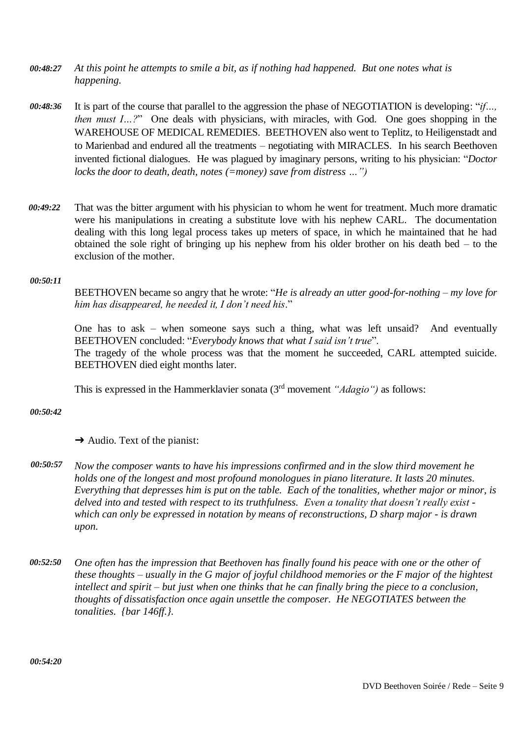- *At this point he attempts to smile a bit, as if nothing had happened. But one notes what is happening. 00:48:27*
- *00:48:36* It is part of the course that parallel to the aggression the phase of NEGOTIATION is developing: "*if…, then must I...?*" One deals with physicians, with miracles, with God. One goes shopping in the WAREHOUSE OF MEDICAL REMEDIES. BEETHOVEN also went to Teplitz, to Heiligenstadt and to Marienbad and endured all the treatments – negotiating with MIRACLES. In his search Beethoven invented fictional dialogues. He was plagued by imaginary persons, writing to his physician: "*Doctor locks the door to death, death, notes (=money) save from distress …")*
- *00:49:22* That was the bitter argument with his physician to whom he went for treatment. Much more dramatic were his manipulations in creating a substitute love with his nephew CARL. The documentation dealing with this long legal process takes up meters of space, in which he maintained that he had obtained the sole right of bringing up his nephew from his older brother on his death bed – to the exclusion of the mother.

#### *00:50:11*

BEETHOVEN became so angry that he wrote: "*He is already an utter good-for-nothing – my love for him has disappeared, he needed it, I don't need his*."

One has to ask – when someone says such a thing, what was left unsaid? And eventually BEETHOVEN concluded: "*Everybody knows that what I said isn't true*". The tragedy of the whole process was that the moment he succeeded, CARL attempted suicide. BEETHOVEN died eight months later.

This is expressed in the Hammerklavier sonata (3rd movement *"Adagio")* as follows:

### *00:50:42*

- *Now the composer wants to have his impressions confirmed and in the slow third movement he holds one of the longest and most profound monologues in piano literature. It lasts 20 minutes. Everything that depresses him is put on the table. Each of the tonalities, whether major or minor, is delved into and tested with respect to its truthfulness. Even a tonality that doesn't really exist which can only be expressed in notation by means of reconstructions, D sharp major - is drawn upon. 00:50:57*
- *One often has the impression that Beethoven has finally found his peace with one or the other of these thoughts – usually in the G major of joyful childhood memories or the F major of the hightest intellect and spirit – but just when one thinks that he can finally bring the piece to a conclusion, thoughts of dissatisfaction once again unsettle the composer. He NEGOTIATES between the tonalities. {bar 146ff.}. 00:52:50*

 $\rightarrow$  Audio. Text of the pianist: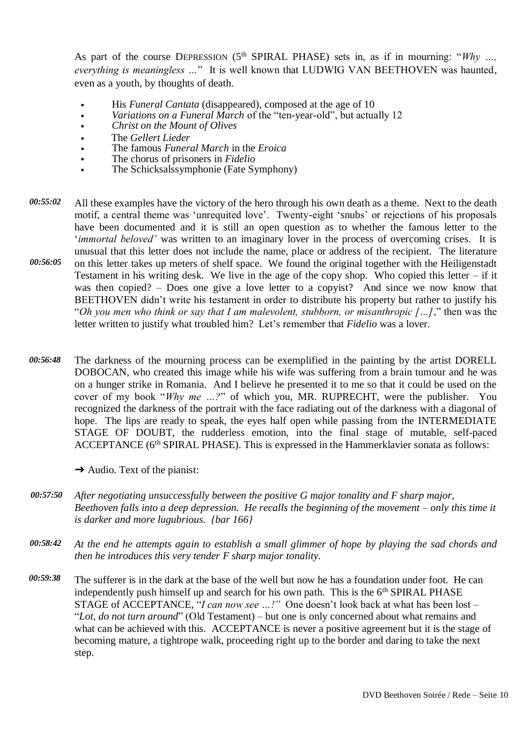As part of the course DEPRESSION (5<sup>th</sup> SPIRAL PHASE) sets in, as if in mourning: "Why ..., *everything is meaningless …*" It is well known that LUDWIG VAN BEETHOVEN was haunted, even as a youth, by thoughts of death.

- His *Funeral Cantata* (disappeared), composed at the age of 10
- *Variations on a Funeral March* of the "ten-year-old", but actually 12<br>• *Christ on the Mount of Olives*
- *Christ on the Mount of Olives*
- The *Gellert Lieder*
- The famous *Funeral March* in the *Eroica*
- The chorus of prisoners in *Fidelio*
- The Schicksalssymphonie (Fate Symphony)
- *00:56:05* All these examples have the victory of the hero through his own death as a theme. Next to the death motif, a central theme was 'unrequited love'. Twenty-eight 'snubs' or rejections of his proposals have been documented and it is still an open question as to whether the famous letter to the '*immortal beloved'* was written to an imaginary lover in the process of overcoming crises. It is unusual that this letter does not include the name, place or address of the recipient. The literature on this letter takes up meters of shelf space. We found the original together with the Heiligenstadt Testament in his writing desk. We live in the age of the copy shop. Who copied this letter  $-$  if it was then copied? – Does one give a love letter to a copyist? And since we now know that BEETHOVEN didn't write his testament in order to distribute his property but rather to justify his "*Oh you men who think or say that I am malevolent, stubborn, or misanthropic […]*," then was the letter written to justify what troubled him? Let's remember that *Fidelio* was a lover. *00:55:02*
- *00:56:48* The darkness of the mourning process can be exemplified in the painting by the artist DORELL DOBOCAN, who created this image while his wife was suffering from a brain tumour and he was on a hunger strike in Romania. And I believe he presented it to me so that it could be used on the cover of my book "*Why me …?*" of which you, MR. RUPRECHT, were the publisher. You recognized the darkness of the portrait with the face radiating out of the darkness with a diagonal of hope. The lips are ready to speak, the eyes half open while passing from the INTERMEDIATE STAGE OF DOUBT, the rudderless emotion, into the final stage of mutable, self-paced ACCEPTANCE (6<sup>th</sup> SPIRAL PHASE). This is expressed in the Hammerklavier sonata as follows:
	- $\rightarrow$  Audio. Text of the pianist:
- *00:57:50 After negotiating unsuccessfully between the positive G major tonality and F sharp major, Beethoven falls into a deep depression. He recalls the beginning of the movement – only this time it is darker and more lugubrious. {bar 166}*
- *At the end he attempts again to establish a small glimmer of hope by playing the sad chords and then he introduces this very tender F sharp major tonality. 00:58:42*
- *00:59:38* The sufferer is in the dark at the base of the well but now he has a foundation under foot. He can independently push himself up and search for his own path. This is the  $6<sup>th</sup> SPIRAL PHASE$ STAGE of ACCEPTANCE, "*I can now see …!"* One doesn't look back at what has been lost – "*Lot, do not turn around*" (Old Testament) – but one is only concerned about what remains and what can be achieved with this. ACCEPTANCE is never a positive agreement but it is the stage of becoming mature, a tightrope walk, proceeding right up to the border and daring to take the next step.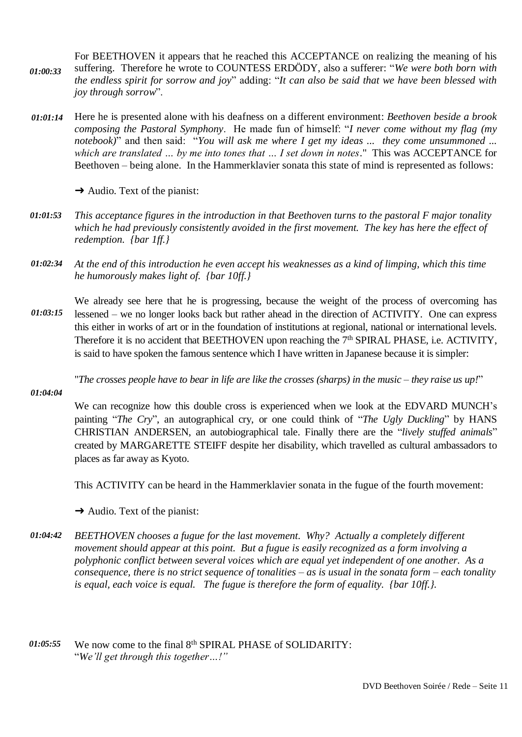*01:00:33* For BEETHOVEN it appears that he reached this ACCEPTANCE on realizing the meaning of his suffering. Therefore he wrote to COUNTESS ERDÖDY, also a sufferer: "*We were both born with the endless spirit for sorrow and joy*" adding: "*It can also be said that we have been blessed with joy through sorrow*".

Here he is presented alone with his deafness on a different environment: *Beethoven beside a brook composing the Pastoral Symphony*. He made fun of himself: "*I never come without my flag (my notebook)*" and then said: "*You will ask me where I get my ideas ... they come unsummoned ... which are translated … by me into tones that … I set down in notes*." This was ACCEPTANCE for Beethoven – being alone. In the Hammerklavier sonata this state of mind is represented as follows: *01:01:14*

 $\rightarrow$  Audio. Text of the pianist:

- *This acceptance figures in the introduction in that Beethoven turns to the pastoral F major tonality which he had previously consistently avoided in the first movement. The key has here the effect of redemption. {bar 1ff.} 01:01:53*
- *01:02:34 At the end of this introduction he even accept his weaknesses as a kind of limping, which this time he humorously makes light of. {bar 10ff.}*
- We already see here that he is progressing, because the weight of the process of overcoming has lessened – we no longer looks back but rather ahead in the direction of ACTIVITY. One can express this either in works of art or in the foundation of institutions at regional, national or international levels. Therefore it is no accident that BEETHOVEN upon reaching the  $7<sup>th</sup>$  SPIRAL PHASE, i.e. ACTIVITY, is said to have spoken the famous sentence which I have written in Japanese because it is simpler: *01:03:15*

"*The crosses people have to bear in life are like the crosses (sharps) in the music – they raise us up!*"

*01:04:04*

We can recognize how this double cross is experienced when we look at the EDVARD MUNCH's painting "*The Cry*", an autographical cry, or one could think of "*The Ugly Duckling*" by HANS CHRISTIAN ANDERSEN, an autobiographical tale. Finally there are the "*lively stuffed animals*" created by MARGARETTE STEIFF despite her disability, which travelled as cultural ambassadors to places as far away as Kyoto.

This ACTIVITY can be heard in the Hammerklavier sonata in the fugue of the fourth movement:

- $\rightarrow$  Audio. Text of the pianist:
- *BEETHOVEN chooses a fugue for the last movement. Why? Actually a completely different movement should appear at this point. But a fugue is easily recognized as a form involving a polyphonic conflict between several voices which are equal yet independent of one another. As a consequence, there is no strict sequence of tonalities – as is usual in the sonata form – each tonality is equal, each voice is equal. The fugue is therefore the form of equality. {bar 10ff.}. 01:04:42*

*01:05:55* We now come to the final 8<sup>th</sup> SPIRAL PHASE of SOLIDARITY: "*We'll get through this together…!"*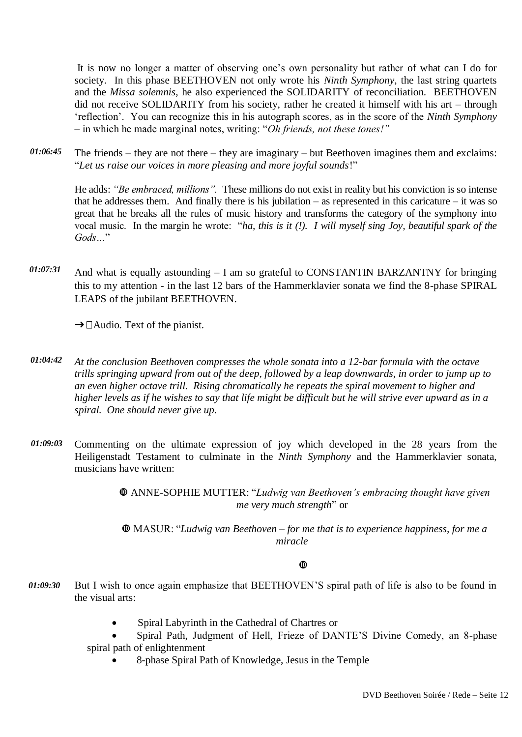It is now no longer a matter of observing one's own personality but rather of what can I do for society. In this phase BEETHOVEN not only wrote his *Ninth Symphony*, the last string quartets and the *Missa solemnis*, he also experienced the SOLIDARITY of reconciliation. BEETHOVEN did not receive SOLIDARITY from his society, rather he created it himself with his art – through 'reflection'. You can recognize this in his autograph scores, as in the score of the *Ninth Symphony* – in which he made marginal notes, writing: "*Oh friends, not these tones!"*

*01:06:45* The friends – they are not there – they are imaginary – but Beethoven imagines them and exclaims: "*Let us raise our voices in more pleasing and more joyful sounds*!"

He adds: *"Be embraced, millions".* These millions do not exist in reality but his conviction is so intense that he addresses them. And finally there is his jubilation – as represented in this caricature – it was so great that he breaks all the rules of music history and transforms the category of the symphony into vocal music. In the margin he wrote: "*ha, this is it (!). I will myself sing Joy, beautiful spark of the Gods…*"

*01:07:31* And what is equally astounding – I am so grateful to CONSTANTIN BARZANTNY for bringing this to my attention - in the last 12 bars of the Hammerklavier sonata we find the 8-phase SPIRAL LEAPS of the jubilant BEETHOVEN.

 $\rightarrow$   $\Box$  Audio. Text of the pianist.

- *At the conclusion Beethoven compresses the whole sonata into a 12-bar formula with the octave trills springing upward from out of the deep, followed by a leap downwards, in order to jump up to an even higher octave trill. Rising chromatically he repeats the spiral movement to higher and higher levels as if he wishes to say that life might be difficult but he will strive ever upward as in a spiral. One should never give up. 01:04:42*
- *01:09:03* Commenting on the ultimate expression of joy which developed in the 28 years from the Heiligenstadt Testament to culminate in the *Ninth Symphony* and the Hammerklavier sonata, musicians have written:

 ANNE-SOPHIE MUTTER: "*Ludwig van Beethoven's embracing thought have given me very much strength*" or

 MASUR: "*Ludwig van Beethoven – for me that is to experience happiness, for me a miracle*

### $\mathbf{D}$

- *01:09:30* But I wish to once again emphasize that BEETHOVEN'S spiral path of life is also to be found in the visual arts:
	- Spiral Labyrinth in the Cathedral of Chartres or
	- Spiral Path, Judgment of Hell, Frieze of DANTE'S Divine Comedy, an 8-phase spiral path of enlightenment
		- 8-phase Spiral Path of Knowledge, Jesus in the Temple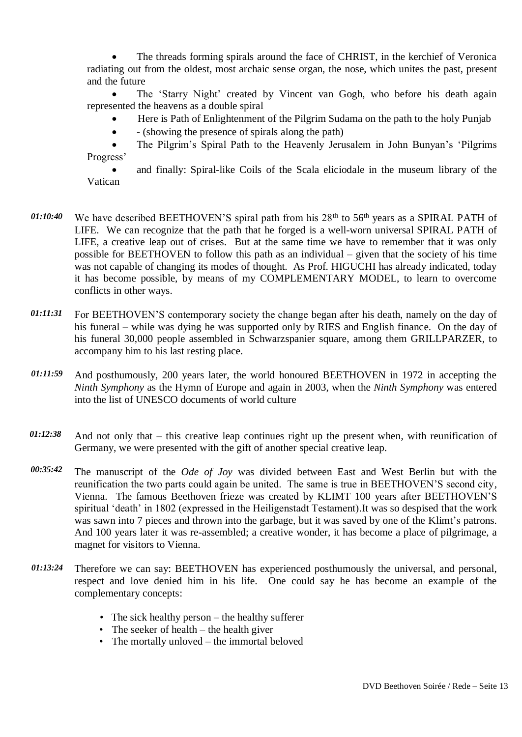• The threads forming spirals around the face of CHRIST, in the kerchief of Veronica radiating out from the oldest, most archaic sense organ, the nose, which unites the past, present and the future

• The 'Starry Night' created by Vincent van Gogh, who before his death again represented the heavens as a double spiral

- Here is Path of Enlightenment of the Pilgrim Sudama on the path to the holy Punjab
- - (showing the presence of spirals along the path)

• The Pilgrim's Spiral Path to the Heavenly Jerusalem in John Bunyan's 'Pilgrims Progress'

• and finally: Spiral-like Coils of the Scala eliciodale in the museum library of the Vatican

- *01:10:40* We have described BEETHOVEN'S spiral path from his  $28<sup>th</sup>$  to  $56<sup>th</sup>$  years as a SPIRAL PATH of LIFE. We can recognize that the path that he forged is a well-worn universal SPIRAL PATH of LIFE, a creative leap out of crises. But at the same time we have to remember that it was only possible for BEETHOVEN to follow this path as an individual – given that the society of his time was not capable of changing its modes of thought. As Prof. HIGUCHI has already indicated, today it has become possible, by means of my COMPLEMENTARY MODEL, to learn to overcome conflicts in other ways.
- *01:11:31* For BEETHOVEN'S contemporary society the change began after his death, namely on the day of his funeral – while was dying he was supported only by RIES and English finance. On the day of his funeral 30,000 people assembled in Schwarzspanier square, among them GRILLPARZER, to accompany him to his last resting place.
- And posthumously, 200 years later, the world honoured BEETHOVEN in 1972 in accepting the *Ninth Symphony* as the Hymn of Europe and again in 2003, when the *Ninth Symphony* was entered into the list of UNESCO documents of world culture *01:11:59*
- *01:12:38* And not only that – this creative leap continues right up the present when, with reunification of Germany, we were presented with the gift of another special creative leap.
- *00:35:42* The manuscript of the *Ode of Joy* was divided between East and West Berlin but with the reunification the two parts could again be united. The same is true in BEETHOVEN'S second city, Vienna. The famous Beethoven frieze was created by KLIMT 100 years after BEETHOVEN'S spiritual 'death' in 1802 (expressed in the Heiligenstadt Testament).It was so despised that the work was sawn into 7 pieces and thrown into the garbage, but it was saved by one of the Klimt's patrons. And 100 years later it was re-assembled; a creative wonder, it has become a place of pilgrimage, a magnet for visitors to Vienna.
- *01:13:24* Therefore we can say: BEETHOVEN has experienced posthumously the universal, and personal, respect and love denied him in his life. One could say he has become an example of the complementary concepts:
	- The sick healthy person the healthy sufferer
	- The seeker of health the health giver
	- The mortally unloved the immortal beloved